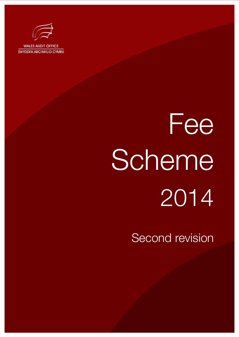

# Fee **Scheme** 2014

Second revision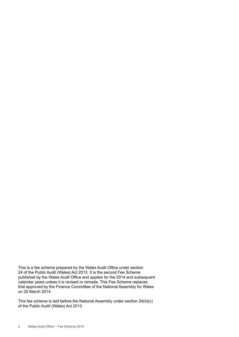This is a fee scheme prepared by the Wales Audit Office under section 24 of the Public Audit (Wales) Act 2013. It is the second Fee Scheme published by the Wales Audit Office and applies for the 2014 and subsequent calendar years unless it is revised or remade. This Fee Scheme replaces that approved by the Finance Committee of the National Assembly for Wales on 20 March 2014.

This fee scheme is laid before the National Assembly under section 24(4)(c) of the Public Audit (Wales) Act 2013.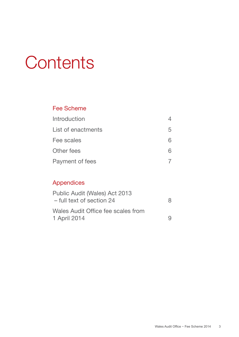## **Contents**

#### Fee Scheme

| Introduction       |   |
|--------------------|---|
| List of enactments | b |
| Fee scales         | ൳ |
| Other fees         | ห |
| Payment of fees    |   |

#### Appendices

| Public Audit (Wales) Act 2013<br>- full text of section 24 | 8 |
|------------------------------------------------------------|---|
| Wales Audit Office fee scales from<br>1 April 2014         | Q |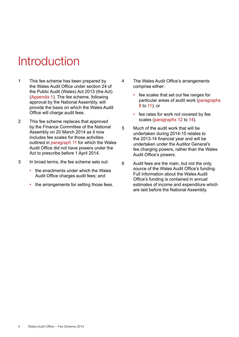## **Introduction**

- 1 This fee scheme has been prepared by the Wales Audit Office under section 24 of the Public Audit (Wales) Act 2013 (the Act) (Appendix 1). The fee scheme, following approval by the National Assembly, will provide the basis on which the Wales Audit Office will charge audit fees.
- 2 This fee scheme replaces that approved by the Finance Committee of the National Assembly on 20 March 2014 as it now includes fee scales for those activities outlined in paragraph 11 for which the Wales Audit Office did not have powers under the Act to prescribe before 1 April 2014.
- 3 In broad terms, the fee scheme sets out:
	- the enactments under which the Wales Audit Office charges audit fees; and
	- the arrangements for setting those fees.
- 4 The Wales Audit Office's arrangements comprise either:
	- fee scales that set out fee ranges for particular areas of audit work (paragraphs 8 to 11); or
	- fee rates for work not covered by fee scales (paragraphs 12 to 14).
- 5 Much of the audit work that will be undertaken during 2014-15 relates to the 2013-14 financial year and will be undertaken under the Auditor General's fee charging powers, rather than the Wales Audit Office's powers.
- 6 Audit fees are the main, but not the only, source of the Wales Audit Office's funding. Full information about the Wales Audit Office's funding is contained in annual estimates of income and expenditure which are laid before the National Assembly.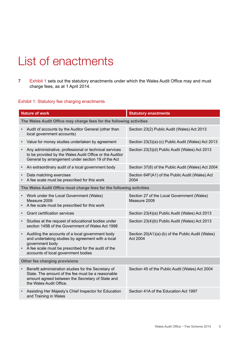## List of enactments

7 Exhibit 1 sets out the statutory enactments under which the Wales Audit Office may and must charge fees, as at 1 April 2014.

#### Exhibit 1: Statutory fee charging enactments

| <b>Nature of work</b>                                                                                                                                                                                                  | <b>Statutory enactments</b>                                          |  |  |  |
|------------------------------------------------------------------------------------------------------------------------------------------------------------------------------------------------------------------------|----------------------------------------------------------------------|--|--|--|
| The Wales Audit Office may charge fees for the following activities                                                                                                                                                    |                                                                      |  |  |  |
| Audit of accounts by the Auditor General (other than<br>local government accounts)                                                                                                                                     | Section 23(2) Public Audit (Wales) Act 2013                          |  |  |  |
| Value for money studies undertaken by agreement<br>$\bullet$                                                                                                                                                           | Section 23(3)(a)-(c) Public Audit (Wales) Act 2013                   |  |  |  |
| Any administrative, professional or technical services<br>to be provided by the Wales Audit Office or the Auditor<br>General by arrangement under section 19 of the Act                                                | Section 23(3)(d) Public Audit (Wales) Act 2013                       |  |  |  |
| An extraordinary audit of a local government body<br>$\bullet$                                                                                                                                                         | Section 37(8) of the Public Audit (Wales) Act 2004                   |  |  |  |
| Data matching exercises<br>A fee scale must be prescribed for this work                                                                                                                                                | Section 64F(A1) of the Public Audit (Wales) Act<br>2004              |  |  |  |
| The Wales Audit Office must charge fees for the following activities                                                                                                                                                   |                                                                      |  |  |  |
| Work under the Local Government (Wales)<br>$\bullet$<br>Measure 2009<br>A fee scale must be prescribed for this work                                                                                                   | Section 27 of the Local Government (Wales)<br>Measure 2009           |  |  |  |
| <b>Grant certification services</b><br>$\bullet$                                                                                                                                                                       | Section 23(4)(a) Public Audit (Wales) Act 2013                       |  |  |  |
| Studies at the request of educational bodies under<br>$\bullet$<br>section 145B of the Government of Wales Act 1998                                                                                                    | Section 23(4)(b) Public Audit (Wales) Act 2013                       |  |  |  |
| Auditing the accounts of a local government body<br>and undertaking studies by agreement with a local<br>government body<br>A fee scale must be prescribed for the audit of the<br>accounts of local government bodies | Section 20(A1)(a)-(b) of the Public Audit (Wales)<br><b>Act 2004</b> |  |  |  |
| Other fee charging provisions                                                                                                                                                                                          |                                                                      |  |  |  |
| Benefit administration studies for the Secretary of<br>$\bullet$<br>State. The amount of the fee must be a reasonable<br>amount agreed between the Secretary of State and<br>the Wales Audit Office.                   | Section 45 of the Public Audit (Wales) Act 2004                      |  |  |  |
| Assisting Her Majesty's Chief Inspector for Education<br>and Training in Wales                                                                                                                                         | Section 41A of the Education Act 1997                                |  |  |  |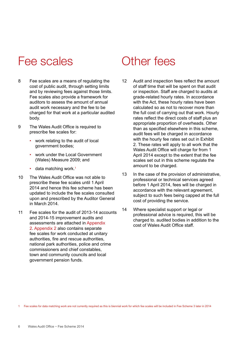### Fee scales Cther fees

- 8 Fee scales are a means of regulating the cost of public audit, through setting limits and by reviewing fees against those limits. Fee scales also provide a framework for auditors to assess the amount of annual audit work necessary and the fee to be charged for that work at a particular audited body.
- 9 The Wales Audit Office is required to prescribe fee scales for:
	- work relating to the audit of local government bodies;
	- work under the Local Government (Wales) Measure 2009; and
	- $\cdot$  data matching work.<sup>1</sup>
- 10 The Wales Audit Office was not able to prescribe these fee scales until 1 April 2014 and hence this fee scheme has been updated to include the fee scales consulted upon and prescribed by the Auditor General in March 2014.
- 11 Fee scales for the audit of 2013-14 accounts and 2014-15 improvement audits and assessments are attached in Appendix 2. Appendix 2 also contains separate fee scales for work conducted at unitary authorities, fire and rescue authorities, national park authorities, police and crime commissioners and chief constables, town and community councils and local government pension funds.

- 12 Audit and inspection fees reflect the amount of staff time that will be spent on that audit or inspection. Staff are charged to audits at grade-related hourly rates. In accordance with the Act, these hourly rates have been calculated so as not to recover more than the full cost of carrying out that work. Hourly rates reflect the direct costs of staff plus an appropriate proportion of overheads. Other than as specified elsewhere in this scheme, audit fees will be charged in accordance with the hourly fee rates set out in Exhibit 2. These rates will apply to all work that the Wales Audit Office will charge for from 1 April 2014 except to the extent that the fee scales set out in this scheme regulate the amount to be charged.
- 13 In the case of the provision of administrative, professional or technical services agreed before 1 April 2014, fees will be charged in accordance with the relevant agreement, subject to such fees being capped at the full cost of providing the service.
- 14 Where specialist support or legal or professional advice is required, this will be charged to. audited bodies in addition to the cost of Wales Audit Office staff.

1 Fee scales for data matching work are not currently required as this is biennial work for which fee scales will be included in Fee Scheme 3 later in 2014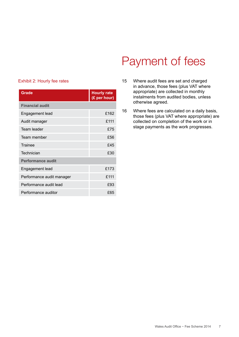## Payment of fees

#### Exhibit 2: Hourly fee rates

| <b>Grade</b>              | <b>Hourly rate</b><br>(£ per hour) |
|---------------------------|------------------------------------|
| <b>Financial audit</b>    |                                    |
| Engagement lead           | £162                               |
| Audit manager             | £111                               |
| Team leader               | £75                                |
| Team member               | £56                                |
| Trainee                   | £45                                |
| Technician                | £30                                |
| <b>Performance audit</b>  |                                    |
| Engagement lead           | £173                               |
| Performance audit manager | £111                               |
| Performance audit lead    | £93                                |
| Performance auditor       | £65                                |

- 15 Where audit fees are set and charged in advance, those fees (plus VAT where appropriate) are collected in monthly instalments from audited bodies, unless otherwise agreed.
- 16 Where fees are calculated on a daily basis, those fees (plus VAT where appropriate) are collected on completion of the work or in stage payments as the work progresses.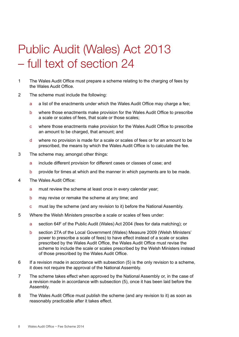## Public Audit (Wales) Act 2013 – full text of section 24

- 1 The Wales Audit Office must prepare a scheme relating to the charging of fees by the Wales Audit Office.
- 2 The scheme must include the following:
	- a a list of the enactments under which the Wales Audit Office may charge a fee;
	- b where those enactments make provision for the Wales Audit Office to prescribe a scale or scales of fees, that scale or those scales;
	- c where those enactments make provision for the Wales Audit Office to prescribe an amount to be charged, that amount; and
	- d where no provision is made for a scale or scales of fees or for an amount to be prescribed, the means by which the Wales Audit Office is to calculate the fee.
- 3 The scheme may, amongst other things:
	- a include different provision for different cases or classes of case; and
	- b provide for times at which and the manner in which payments are to be made.
- 4 The Wales Audit Office:
	- a must review the scheme at least once in every calendar year;
	- b may revise or remake the scheme at any time; and
	- c must lay the scheme (and any revision to it) before the National Assembly.
- 5 Where the Welsh Ministers prescribe a scale or scales of fees under:
	- a section 64F of the Public Audit (Wales) Act 2004 (fees for data matching); or
	- b section 27A of the Local Government (Wales) Measure 2009 (Welsh Ministers' power to prescribe a scale of fees) to have effect instead of a scale or scales prescribed by the Wales Audit Office, the Wales Audit Office must revise the scheme to include the scale or scales prescribed by the Welsh Ministers instead of those prescribed by the Wales Audit Office.
- 6 If a revision made in accordance with subsection (5) is the only revision to a scheme, it does not require the approval of the National Assembly.
- 7 The scheme takes effect when approved by the National Assembly or, in the case of a revision made in accordance with subsection (5), once it has been laid before the Assembly.
- 8 The Wales Audit Office must publish the scheme (and any revision to it) as soon as reasonably practicable after it takes effect.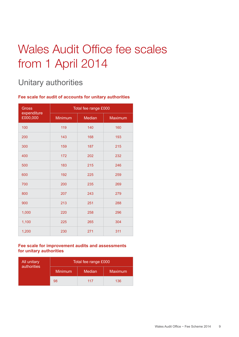## Wales Audit Office fee scales from 1 April 2014

#### Unitary authorities

#### **Fee scale for audit of accounts for unitary authorities**

| Gross                   | Total fee range £000 |               |         |  |
|-------------------------|----------------------|---------------|---------|--|
| expenditure<br>£000,000 | Minimum              | <b>Median</b> | Maximum |  |
| 100                     | 119                  | 140           | 160     |  |
| 200                     | 143                  | 168           | 193     |  |
| 300                     | 159                  | 187           | 215     |  |
| 400                     | 172                  | 202           | 232     |  |
| 500                     | 183                  | 215           | 246     |  |
| 600                     | 192                  | 225           | 259     |  |
| 700                     | 200                  | 235           | 269     |  |
| 800                     | 207                  | 243           | 279     |  |
| 900                     | 213                  | 251           | 288     |  |
| 1,000                   | 220                  | 258           | 296     |  |
| 1,100                   | 225                  | 265           | 304     |  |
| 1,200                   | 230                  | 271           | 311     |  |

#### **Fee scale for improvement audits and assessments for unitary authorities**

| All unitary<br>authorities | Total fee range £000 |        |                |
|----------------------------|----------------------|--------|----------------|
|                            | <b>Minimum</b>       | Median | <b>Maximum</b> |
|                            | 98                   | 117    | 136            |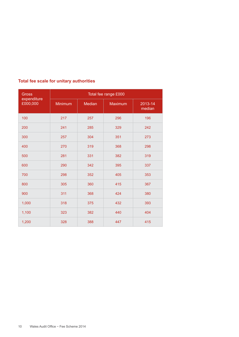| <b>Gross</b>            | Total fee range £000 |               |         |                   |
|-------------------------|----------------------|---------------|---------|-------------------|
| expenditure<br>£000,000 | Minimum              | <b>Median</b> | Maximum | 2013-14<br>median |
| 100                     | 217                  | 257           | 296     | 196               |
| 200                     | 241                  | 285           | 329     | 242               |
| 300                     | 257                  | 304           | 351     | 273               |
| 400                     | 270                  | 319           | 368     | 298               |
| 500                     | 281                  | 331           | 382     | 319               |
| 600                     | 290                  | 342           | 395     | 337               |
| 700                     | 298                  | 352           | 405     | 353               |
| 800                     | 305                  | 360           | 415     | 367               |
| 900                     | 311                  | 368           | 424     | 380               |
| 1,000                   | 318                  | 375           | 432     | 393               |
| 1,100                   | 323                  | 382           | 440     | 404               |
| 1,200                   | 328                  | 388           | 447     | 415               |

#### **Total fee scale for unitary authorities**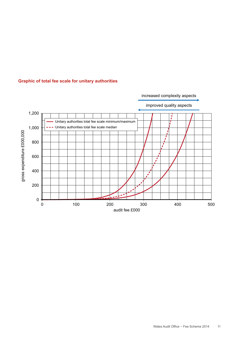

#### **Graphic of total fee scale for unitary authorities**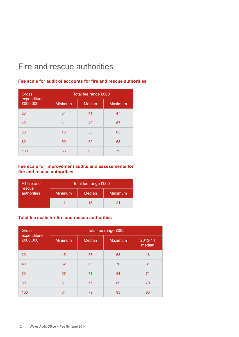#### Fire and rescue authorities

#### Gross expenditure £000,000 Total fee range £000 Minimum Median Maximum 20 34 41 47 40 41 49 57 60 46 55 63 80 50 59 68 100 53 63 72

#### **Fee scale for audit of accounts for fire and rescue authorities**

#### **Fee scale for improvement audits and assessments for fire and rescue authorities**

| All fire and          | Total fee range £000 |        |                |
|-----------------------|----------------------|--------|----------------|
| rescue<br>authorities | Minimum              | Median | <b>Maximum</b> |
|                       |                      | 16     | 21             |

#### **Total fee scale for fire and rescue authorities**

| <b>Gross</b><br>expenditure | Total fee range £000 |        |                |                   |
|-----------------------------|----------------------|--------|----------------|-------------------|
| £000,000                    | <b>Minimum</b>       | Median | <b>Maximum</b> | 2013-14<br>median |
| 20                          | 45                   | 57     | 68             | 48                |
| 40                          | 52                   | 65     | 78             | 61                |
| 60                          | 57                   | 71     | 84             | 71                |
| 80                          | 61                   | 75     | 89             | 79                |
| 100                         | 64                   | 79     | 93             | 85                |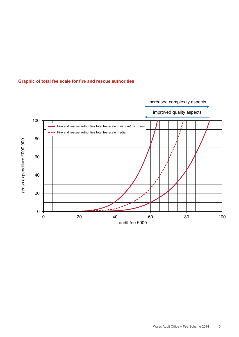

#### **Graphic of total fee scale for fire and rescue authorities**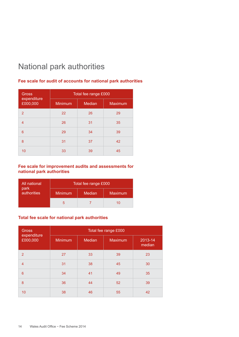#### National park authorities

#### **Fee scale for audit of accounts for national park authorities**

| <b>Gross</b>            | Total fee range £000 |               |                |  |
|-------------------------|----------------------|---------------|----------------|--|
| expenditure<br>£000,000 | Minimum              | <b>Median</b> | <b>Maximum</b> |  |
| 2                       | 22                   | 26            | 29             |  |
| 4                       | 26                   | 31            | 35             |  |
| 6                       | 29                   | 34            | 39             |  |
| 8                       | 31                   | 37            | 42             |  |
| 10                      | 33                   | 39            | 45             |  |

#### **Fee scale for improvement audits and assessments for national park authorities**

| All national        |                | Total fee range £000 |                |
|---------------------|----------------|----------------------|----------------|
| park<br>authorities | <b>Minimum</b> | Median               | <b>Maximum</b> |
|                     | :              |                      | 10             |

#### **Total fee scale for national park authorities**

| <b>Gross</b><br>expenditure<br>£000,000 |                |        | Total fee range £000 |                   |
|-----------------------------------------|----------------|--------|----------------------|-------------------|
|                                         | <b>Minimum</b> | Median | <b>Maximum</b>       | 2013-14<br>median |
| $\overline{2}$                          | 27             | 33     | 39                   | 23                |
| $\overline{4}$                          | 31             | 38     | 45                   | 30                |
| 6                                       | 34             | 41     | 49                   | 35                |
| 8                                       | 36             | 44     | 52                   | 39                |
| 10                                      | 38             | 46     | 55                   | 42                |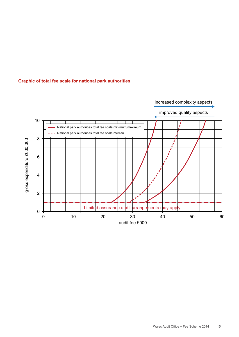![](_page_14_Figure_0.jpeg)

#### **Graphic of total fee scale for national park authorities**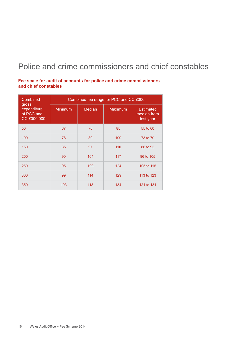#### Police and crime commissioners and chief constables

**Fee scale for audit of accounts for police and crime commissioners and chief constables**

| Combined<br>gross<br>expenditure<br>of PCC and<br>CC £000,000 | Combined fee range for PCC and CC £000 |               |                |                                              |  |
|---------------------------------------------------------------|----------------------------------------|---------------|----------------|----------------------------------------------|--|
|                                                               | <b>Minimum</b>                         | <b>Median</b> | <b>Maximum</b> | <b>Estimated</b><br>median from<br>last year |  |
| 50                                                            | 67                                     | 76            | 85             | 55 to 60                                     |  |
| 100                                                           | 78                                     | 89            | 100            | 73 to 79                                     |  |
| 150                                                           | 85                                     | 97            | 110            | 86 to 93                                     |  |
| 200                                                           | 90                                     | 104           | 117            | 96 to 105                                    |  |
| 250                                                           | 95                                     | 109           | 124            | 105 to 115                                   |  |
| 300                                                           | 99                                     | 114           | 129            | 113 to 123                                   |  |
| 350                                                           | 103                                    | 118           | 134            | 121 to 131                                   |  |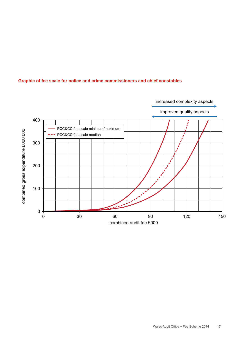![](_page_16_Figure_0.jpeg)

#### **Graphic of fee scale for police and crime commissioners and chief constables**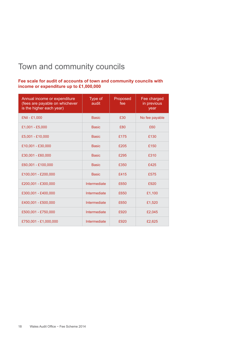#### Town and community councils

#### **Fee scale for audit of accounts of town and community councils with income or expenditure up to £1,000,000**

| Annual income or expenditure<br>(fees are payable on whichever<br>is the higher each year) | Type of<br>audit | Proposed<br>fee | Fee charged<br>in previous<br>year |
|--------------------------------------------------------------------------------------------|------------------|-----------------|------------------------------------|
| £Nil - £1,000                                                                              | <b>Basic</b>     | £30             | No fee payable                     |
| £1,001 - £5,000                                                                            | <b>Basic</b>     | £80             | £60                                |
| £5,001 - £10,000                                                                           | <b>Basic</b>     | £175            | £130                               |
| £10,001 - £30,000                                                                          | <b>Basic</b>     | £205            | £150                               |
| £30,001 - £60,000                                                                          | <b>Basic</b>     | £295            | £310                               |
| £60,001 - £100,000                                                                         | <b>Basic</b>     | £350            | £425                               |
| £100,001 - £200,000                                                                        | <b>Basic</b>     | £415            | £575                               |
| £200,001 - £300,000                                                                        | Intermediate     | £650            | £920                               |
| £300,001 - £400,000                                                                        | Intermediate     | £650            | £1,100                             |
| £400,001 - £500,000                                                                        | Intermediate     | £650            | £1,520                             |
| £500,001 - £750,000                                                                        | Intermediate     | £920            | £2,045                             |
| £750,001 - £1,000,000                                                                      | Intermediate     | £920            | £2,625                             |